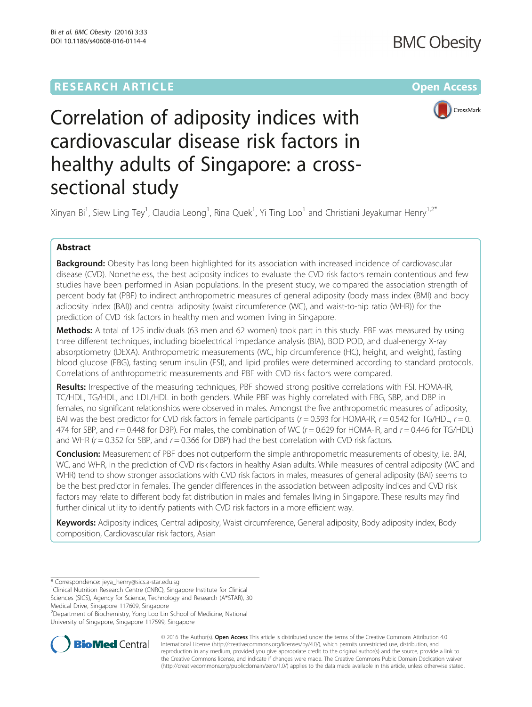

# Correlation of adiposity indices with cardiovascular disease risk factors in healthy adults of Singapore: a crosssectional study

Xinyan Bi<sup>1</sup>, Siew Ling Tey<sup>1</sup>, Claudia Leong<sup>1</sup>, Rina Quek<sup>1</sup>, Yi Ting Loo<sup>1</sup> and Christiani Jeyakumar Henry<sup>1,2\*</sup>

## Abstract

Background: Obesity has long been highlighted for its association with increased incidence of cardiovascular disease (CVD). Nonetheless, the best adiposity indices to evaluate the CVD risk factors remain contentious and few studies have been performed in Asian populations. In the present study, we compared the association strength of percent body fat (PBF) to indirect anthropometric measures of general adiposity (body mass index (BMI) and body adiposity index (BAI)) and central adiposity (waist circumference (WC), and waist-to-hip ratio (WHR)) for the prediction of CVD risk factors in healthy men and women living in Singapore.

Methods: A total of 125 individuals (63 men and 62 women) took part in this study. PBF was measured by using three different techniques, including bioelectrical impedance analysis (BIA), BOD POD, and dual-energy X-ray absorptiometry (DEXA). Anthropometric measurements (WC, hip circumference (HC), height, and weight), fasting blood glucose (FBG), fasting serum insulin (FSI), and lipid profiles were determined according to standard protocols. Correlations of anthropometric measurements and PBF with CVD risk factors were compared.

Results: Irrespective of the measuring techniques, PBF showed strong positive correlations with FSI, HOMA-IR, TC/HDL, TG/HDL, and LDL/HDL in both genders. While PBF was highly correlated with FBG, SBP, and DBP in females, no significant relationships were observed in males. Amongst the five anthropometric measures of adiposity, BAI was the best predictor for CVD risk factors in female participants ( $r = 0.593$  for HOMA-IR,  $r = 0.542$  for TG/HDL,  $r = 0$ . 474 for SBP, and  $r = 0.448$  for DBP). For males, the combination of WC ( $r = 0.629$  for HOMA-IR, and  $r = 0.446$  for TG/HDL) and WHR ( $r = 0.352$  for SBP, and  $r = 0.366$  for DBP) had the best correlation with CVD risk factors.

Conclusion: Measurement of PBF does not outperform the simple anthropometric measurements of obesity, i.e. BAI, WC, and WHR, in the prediction of CVD risk factors in healthy Asian adults. While measures of central adiposity (WC and WHR) tend to show stronger associations with CVD risk factors in males, measures of general adiposity (BAI) seems to be the best predictor in females. The gender differences in the association between adiposity indices and CVD risk factors may relate to different body fat distribution in males and females living in Singapore. These results may find further clinical utility to identify patients with CVD risk factors in a more efficient way.

Keywords: Adiposity indices, Central adiposity, Waist circumference, General adiposity, Body adiposity index, Body composition, Cardiovascular risk factors, Asian

2 Department of Biochemistry, Yong Loo Lin School of Medicine, National University of Singapore, Singapore 117599, Singapore



© 2016 The Author(s). Open Access This article is distributed under the terms of the Creative Commons Attribution 4.0 International License [\(http://creativecommons.org/licenses/by/4.0/](http://creativecommons.org/licenses/by/4.0/)), which permits unrestricted use, distribution, and reproduction in any medium, provided you give appropriate credit to the original author(s) and the source, provide a link to the Creative Commons license, and indicate if changes were made. The Creative Commons Public Domain Dedication waiver [\(http://creativecommons.org/publicdomain/zero/1.0/](http://creativecommons.org/publicdomain/zero/1.0/)) applies to the data made available in this article, unless otherwise stated.

<sup>\*</sup> Correspondence: [jeya\\_henry@sics.a-star.edu.sg](mailto:jeya_henry@sics.a-star.edu.sg) <sup>1</sup>

<sup>&</sup>lt;sup>1</sup>Clinical Nutrition Research Centre (CNRC), Singapore Institute for Clinical Sciences (SICS), Agency for Science, Technology and Research (A\*STAR), 30 Medical Drive, Singapore 117609, Singapore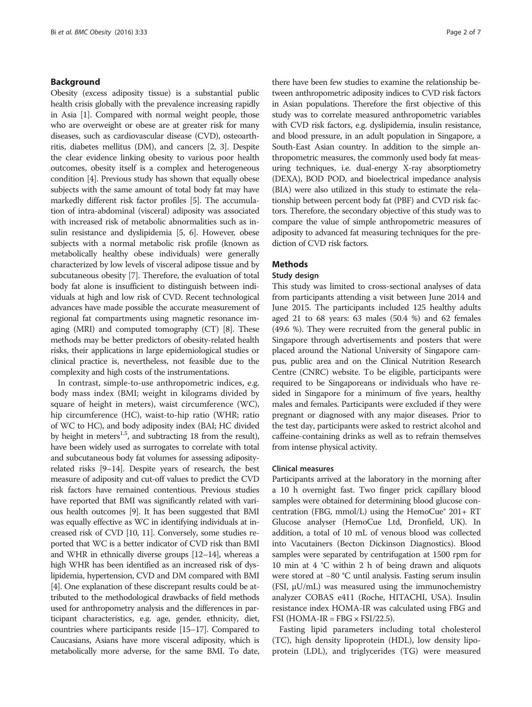## Background

Obesity (excess adiposity tissue) is a substantial public health crisis globally with the prevalence increasing rapidly in Asia [\[1\]](#page-6-0). Compared with normal weight people, those who are overweight or obese are at greater risk for many diseases, such as cardiovascular disease (CVD), osteoarthritis, diabetes mellitus (DM), and cancers [\[2, 3](#page-6-0)]. Despite the clear evidence linking obesity to various poor health outcomes, obesity itself is a complex and heterogeneous condition [\[4](#page-6-0)]. Previous study has shown that equally obese subjects with the same amount of total body fat may have markedly different risk factor profiles [[5](#page-6-0)]. The accumulation of intra-abdominal (visceral) adiposity was associated with increased risk of metabolic abnormalities such as insulin resistance and dyslipidemia [\[5](#page-6-0), [6\]](#page-6-0). However, obese subjects with a normal metabolic risk profile (known as metabolically healthy obese individuals) were generally characterized by low levels of visceral adipose tissue and by subcutaneous obesity [[7\]](#page-6-0). Therefore, the evaluation of total body fat alone is insufficient to distinguish between individuals at high and low risk of CVD. Recent technological advances have made possible the accurate measurement of regional fat compartments using magnetic resonance imaging (MRI) and computed tomography (CT) [[8](#page-6-0)]. These methods may be better predictors of obesity-related health risks, their applications in large epidemiological studies or clinical practice is, nevertheless, not feasible due to the complexity and high costs of the instrumentations.

In contrast, simple-to-use anthropometric indices, e.g. body mass index (BMI; weight in kilograms divided by square of height in meters), waist circumference (WC), hip circumference (HC), waist-to-hip ratio (WHR; ratio of WC to HC), and body adiposity index (BAI; HC divided by height in meters<sup>1.5</sup>, and subtracting 18 from the result), have been widely used as surrogates to correlate with total and subcutaneous body fat volumes for assessing adiposityrelated risks [[9](#page-6-0)–[14](#page-6-0)]. Despite years of research, the best measure of adiposity and cut-off values to predict the CVD risk factors have remained contentious. Previous studies have reported that BMI was significantly related with various health outcomes [[9](#page-6-0)]. It has been suggested that BMI was equally effective as WC in identifying individuals at increased risk of CVD [\[10, 11](#page-6-0)]. Conversely, some studies reported that WC is a better indicator of CVD risk than BMI and WHR in ethnically diverse groups [[12](#page-6-0)–[14](#page-6-0)], whereas a high WHR has been identified as an increased risk of dyslipidemia, hypertension, CVD and DM compared with BMI [[4](#page-6-0)]. One explanation of these discrepant results could be attributed to the methodological drawbacks of field methods used for anthropometry analysis and the differences in participant characteristics, e.g. age, gender, ethnicity, diet, countries where participants reside [[15](#page-6-0)–[17](#page-6-0)]. Compared to Caucasians, Asians have more visceral adiposity, which is metabolically more adverse, for the same BMI. To date,

there have been few studies to examine the relationship between anthropometric adiposity indices to CVD risk factors in Asian populations. Therefore the first objective of this study was to correlate measured anthropometric variables with CVD risk factors, e.g. dyslipidemia, insulin resistance, and blood pressure, in an adult population in Singapore, a South-East Asian country. In addition to the simple anthropometric measures, the commonly used body fat measuring techniques, i.e. dual-energy X-ray absorptiometry (DEXA), BOD POD, and bioelectrical impedance analysis (BIA) were also utilized in this study to estimate the relationship between percent body fat (PBF) and CVD risk factors. Therefore, the secondary objective of this study was to compare the value of simple anthropometric measures of adiposity to advanced fat measuring techniques for the prediction of CVD risk factors.

## Methods

## Study design

This study was limited to cross-sectional analyses of data from participants attending a visit between June 2014 and June 2015. The participants included 125 healthy adults aged 21 to 68 years: 63 males (50.4 %) and 62 females (49.6 %). They were recruited from the general public in Singapore through advertisements and posters that were placed around the National University of Singapore campus, public area and on the Clinical Nutrition Research Centre (CNRC) website. To be eligible, participants were required to be Singaporeans or individuals who have resided in Singapore for a minimum of five years, healthy males and females. Participants were excluded if they were pregnant or diagnosed with any major diseases. Prior to the test day, participants were asked to restrict alcohol and caffeine-containing drinks as well as to refrain themselves from intense physical activity.

## Clinical measures

Participants arrived at the laboratory in the morning after a 10 h overnight fast. Two finger prick capillary blood samples were obtained for determining blood glucose concentration (FBG, mmol/L) using the HemoCue® 201+ RT Glucose analyser (HemoCue Ltd, Dronfield, UK). In addition, a total of 10 mL of venous blood was collected into Vacutainers (Becton Dickinson Diagnostics). Blood samples were separated by centrifugation at 1500 rpm for 10 min at 4 °C within 2 h of being drawn and aliquots were stored at −80 °C until analysis. Fasting serum insulin (FSI, μU/mL) was measured using the immunochemistry analyzer COBAS e411 (Roche, HITACHI, USA). Insulin resistance index HOMA-IR was calculated using FBG and FSI (HOMA-IR = FBG  $\times$  FSI/22.5).

Fasting lipid parameters including total cholesterol (TC), high density lipoprotein (HDL), low density lipoprotein (LDL), and triglycerides (TG) were measured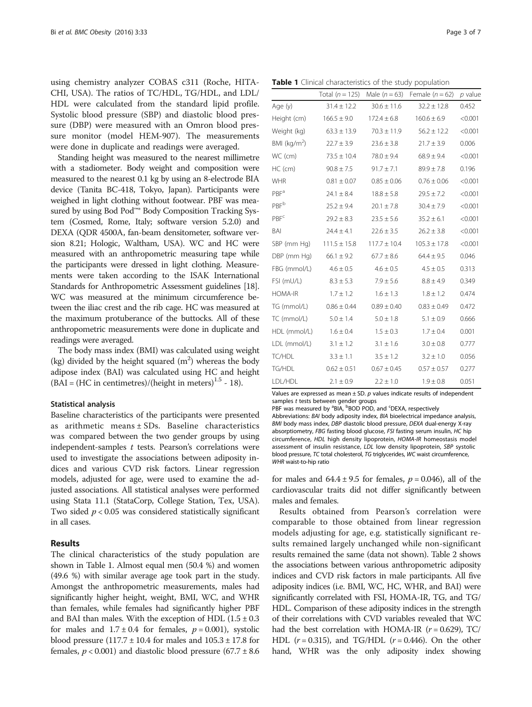using chemistry analyzer COBAS c311 (Roche, HITA-CHI, USA). The ratios of TC/HDL, TG/HDL, and LDL/ HDL were calculated from the standard lipid profile. Systolic blood pressure (SBP) and diastolic blood pressure (DBP) were measured with an Omron blood pressure monitor (model HEM-907). The measurements were done in duplicate and readings were averaged.

Standing height was measured to the nearest millimetre with a stadiometer. Body weight and composition were measured to the nearest 0.1 kg by using an 8-electrode BIA device (Tanita BC-418, Tokyo, Japan). Participants were weighed in light clothing without footwear. PBF was measured by using Bod Pod™® Body Composition Tracking System (Cosmed, Rome, Italy; software version 5.2.0) and DEXA (QDR 4500A, fan-beam densitometer, software version 8.21; Hologic, Waltham, USA). WC and HC were measured with an anthropometric measuring tape while the participants were dressed in light clothing. Measurements were taken according to the ISAK International Standards for Anthropometric Assessment guidelines [\[18](#page-6-0)]. WC was measured at the minimum circumference between the iliac crest and the rib cage. HC was measured at the maximum protuberance of the buttocks. All of these anthropometric measurements were done in duplicate and readings were averaged.

The body mass index (BMI) was calculated using weight (kg) divided by the height squared  $(m^2)$  whereas the body adipose index (BAI) was calculated using HC and height  $(BAI = (HC in centimetres)/(height in meters)<sup>1.5</sup> - 18)$ .

## Statistical analysis

Baseline characteristics of the participants were presented as arithmetic means ± SDs. Baseline characteristics was compared between the two gender groups by using independent-samples  $t$  tests. Pearson's correlations were used to investigate the associations between adiposity indices and various CVD risk factors. Linear regression models, adjusted for age, were used to examine the adjusted associations. All statistical analyses were performed using Stata 11.1 (StataCorp, College Station, Tex, USA). Two sided  $p < 0.05$  was considered statistically significant in all cases.

## Results

The clinical characteristics of the study population are shown in Table 1. Almost equal men (50.4 %) and women (49.6 %) with similar average age took part in the study. Amongst the anthropometric measurements, males had significantly higher height, weight, BMI, WC, and WHR than females, while females had significantly higher PBF and BAI than males. With the exception of HDL  $(1.5 \pm 0.3)$ for males and  $1.7 \pm 0.4$  for females,  $p = 0.001$ ), systolic blood pressure  $(117.7 \pm 10.4$  for males and  $105.3 \pm 17.8$  for females,  $p < 0.001$ ) and diastolic blood pressure (67.7  $\pm$  8.6

Table 1 Clinical characteristics of the study population

|                         | Total $(n = 125)$ | Male $(n=63)$    | Female $(n = 62)$ | $p$ value |
|-------------------------|-------------------|------------------|-------------------|-----------|
| Age (y)                 | $31.4 \pm 12.2$   | $30.6 \pm 11.6$  | $32.2 \pm 12.8$   | 0.452     |
| Height (cm)             | $166.5 \pm 9.0$   | $172.4 \pm 6.8$  | $160.6 \pm 6.9$   | < 0.001   |
| Weight (kg)             | $63.3 \pm 13.9$   | $70.3 \pm 11.9$  | $56.2 \pm 12.2$   | < 0.001   |
| BMI ( $kg/m2$ )         | $22.7 \pm 3.9$    | $23.6 \pm 3.8$   | $21.7 \pm 3.9$    | 0.006     |
| WC (cm)                 | $73.5 \pm 10.4$   | $78.0 \pm 9.4$   | $68.9 \pm 9.4$    | < 0.001   |
| $HC$ (cm)               | $90.8 \pm 7.5$    | $91.7 \pm 7.1$   | $89.9 \pm 7.8$    | 0.196     |
| <b>WHR</b>              | $0.81 \pm 0.07$   | $0.85 \pm 0.06$  | $0.76 \pm 0.06$   | < 0.001   |
| PBF <sup>a</sup>        | $24.1 \pm 8.4$    | $18.8 \pm 5.8$   | $29.5 \pm 7.2$    | < 0.001   |
| <b>PBF</b> <sup>b</sup> | $25.2 \pm 9.4$    | $20.1 \pm 7.8$   | $30.4 \pm 7.9$    | < 0.001   |
| <b>PBF<sup>c</sup></b>  | $29.2 \pm 8.3$    | $23.5 \pm 5.6$   | $35.2 \pm 6.1$    | < 0.001   |
| BAI                     | $24.4 \pm 4.1$    | $22.6 \pm 3.5$   | $26.2 \pm 3.8$    | < 0.001   |
| SBP (mm Hg)             | $111.5 \pm 15.8$  | $117.7 \pm 10.4$ | $105.3 \pm 17.8$  | < 0.001   |
| DBP (mm Hg)             | $66.1 \pm 9.2$    | $67.7 \pm 8.6$   | $64.4 \pm 9.5$    | 0.046     |
| FBG (mmol/L)            | $4.6 \pm 0.5$     | $4.6 \pm 0.5$    | $4.5 \pm 0.5$     | 0.313     |
| FSI (mU/L)              | $8.3 \pm 5.3$     | $7.9 \pm 5.6$    | $8.8 \pm 4.9$     | 0.349     |
| <b>HOMA-IR</b>          | $1.7 \pm 1.2$     | $1.6 \pm 1.3$    | $1.8 \pm 1.2$     | 0.474     |
| TG (mmol/L)             | $0.86 \pm 0.44$   | $0.89 \pm 0.40$  | $0.83 \pm 0.49$   | 0.472     |
| TC (mmol/L)             | $5.0 \pm 1.4$     | $5.0 \pm 1.8$    | $5.1 \pm 0.9$     | 0.666     |
| HDL (mmol/L)            | $1.6 \pm 0.4$     | $1.5 \pm 0.3$    | $1.7 \pm 0.4$     | 0.001     |
| LDL (mmol/L)            | $3.1 \pm 1.2$     | $3.1 \pm 1.6$    | $3.0 \pm 0.8$     | 0.777     |
| TC/HDL                  | $3.3 \pm 1.1$     | $3.5 \pm 1.2$    | $3.2 \pm 1.0$     | 0.056     |
| TG/HDL                  | $0.62 \pm 0.51$   | $0.67 \pm 0.45$  | $0.57 \pm 0.57$   | 0.277     |
| LDL/HDL                 | $2.1 \pm 0.9$     | $2.2 \pm 1.0$    | $1.9 \pm 0.8$     | 0.051     |

Values are expressed as mean  $\pm$  SD.  $p$  values indicate results of independent samples t tests between gender groups

PBF was measured by <sup>a</sup>BIA, <sup>b</sup>BOD POD, and <sup>c</sup>DEXA, respectively Abbreviations: BAI body adiposity index, BIA bioelectrical impedance analysis, BMI body mass index, DBP diastolic blood pressure, DEXA dual-energy X-ray absorptiometry, FBG fasting blood glucose, FSI fasting serum insulin, HC hip circumference, HDL high density lipoprotein, HOMA-IR homeostasis model assessment of insulin resistance, LDL low density lipoprotein, SBP systolic blood pressure, TC total cholesterol, TG triglycerides, WC waist circumference, WHR waist-to-hip ratio

for males and  $64.4 \pm 9.5$  for females,  $p = 0.046$ ), all of the cardiovascular traits did not differ significantly between males and females.

Results obtained from Pearson's correlation were comparable to those obtained from linear regression models adjusting for age, e.g. statistically significant results remained largely unchanged while non-significant results remained the same (data not shown). Table [2](#page-3-0) shows the associations between various anthropometric adiposity indices and CVD risk factors in male participants. All five adiposity indices (i.e. BMI, WC, HC, WHR, and BAI) were significantly correlated with FSI, HOMA-IR, TG, and TG/ HDL. Comparison of these adiposity indices in the strength of their correlations with CVD variables revealed that WC had the best correlation with HOMA-IR  $(r = 0.629)$ , TC/ HDL  $(r = 0.315)$ , and TG/HDL  $(r = 0.446)$ . On the other hand, WHR was the only adiposity index showing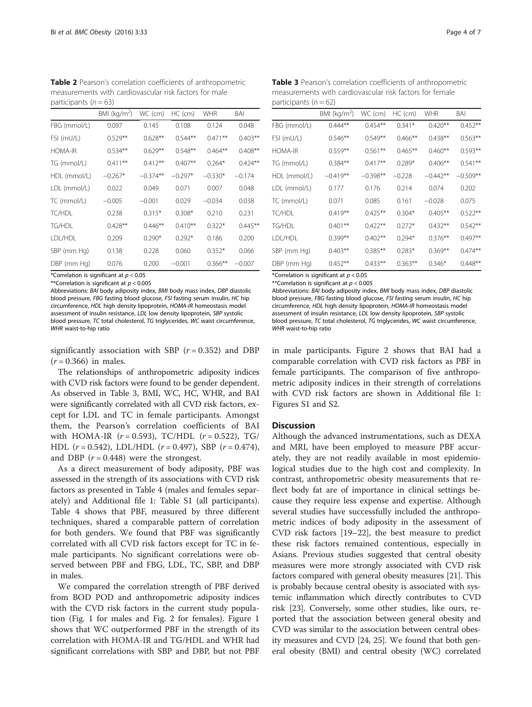<span id="page-3-0"></span>Table 2 Pearson's correlation coefficients of anthropometric measurements with cardiovascular risk factors for male participants ( $n = 63$ )

|                | BMI ( $kg/m2$ ) | WC (cm)    | $HC$ (cm) | <b>WHR</b> | BAI        |
|----------------|-----------------|------------|-----------|------------|------------|
| FBG (mmol/L)   | 0.097           | 0.145      | 0.108     | 0.124      | 0.048      |
| FSI (mU/L)     | $0.529**$       | $0.628**$  | $0.544**$ | $0.471**$  | $0.403**$  |
| <b>HOMA-IR</b> | $0.534**$       | $0.629**$  | $0.548**$ | $0.464**$  | $0.408**$  |
| TG (mmol/L)    | $0.411***$      | $0.412**$  | $0.407**$ | $0.264*$   | $0.424***$ |
| HDL (mmol/L)   | $-0.267*$       | $-0.374**$ | $-0.297*$ | $-0.330*$  | $-0.174$   |
| LDL (mmol/L)   | 0.022           | 0.049      | 0.071     | 0.007      | 0.048      |
| TC (mmol/L)    | $-0.005$        | $-0.001$   | 0.029     | $-0.034$   | 0.038      |
| TC/HDL         | 0.238           | $0.315*$   | $0.308*$  | 0.210      | 0.231      |
| TG/HDL         | $0.428**$       | $0.446**$  | $0.410**$ | $0.322*$   | $0.445***$ |
| LDL/HDL        | 0.209           | $0.290*$   | $0.292*$  | 0.186      | 0.200      |
| SBP (mm Hg)    | 0.138           | 0.228      | 0.060     | $0.352*$   | 0.066      |
| DBP (mm Hg)    | 0.076           | 0.200      | $-0.001$  | $0.366**$  | $-0.007$   |

\*Correlation is significant at  $p < 0.05$ 

\*\*Correlation is significant at  $p < 0.005$ 

Abbreviations: BAI body adiposity index, BMI body mass index, DBP diastolic blood pressure, FBG fasting blood glucose, FSI fasting serum insulin, HC hip circumference, HDL high density lipoprotein, HOMA-IR homeostasis model assessment of insulin resistance, LDL low density lipoprotein, SBP systolic blood pressure, TC total cholesterol, TG triglycerides, WC waist circumference, WHR waist-to-hip ratio

significantly association with SBP  $(r = 0.352)$  and DBP  $(r = 0.366)$  in males.

The relationships of anthropometric adiposity indices with CVD risk factors were found to be gender dependent. As observed in Table 3, BMI, WC, HC, WHR, and BAI were significantly correlated with all CVD risk factors, except for LDL and TC in female participants. Amongst them, the Pearson's correlation coefficients of BAI with HOMA-IR  $(r = 0.593)$ , TC/HDL  $(r = 0.522)$ , TG/ HDL  $(r = 0.542)$ , LDL/HDL  $(r = 0.497)$ , SBP  $(r = 0.474)$ , and DBP  $(r = 0.448)$  were the strongest.

As a direct measurement of body adiposity, PBF was assessed in the strength of its associations with CVD risk factors as presented in Table [4](#page-4-0) (males and females separately) and Additional file [1](#page-5-0): Table S1 (all participants). Table [4](#page-4-0) shows that PBF, measured by three different techniques, shared a comparable pattern of correlation for both genders. We found that PBF was significantly correlated with all CVD risk factors except for TC in female participants. No significant correlations were observed between PBF and FBG, LDL, TC, SBP, and DBP in males.

We compared the correlation strength of PBF derived from BOD POD and anthropometric adiposity indices with the CVD risk factors in the current study population (Fig. [1](#page-4-0) for males and Fig. [2](#page-5-0) for females). Figure [1](#page-4-0) shows that WC outperformed PBF in the strength of its correlation with HOMA-IR and TG/HDL and WHR had significant correlations with SBP and DBP, but not PBF

Table 3 Pearson's correlation coefficients of anthropometric measurements with cardiovascular risk factors for female participants  $(n = 62)$ 

|                | BMI (kg/m <sup>2</sup> ) | WC (cm)    | $HC$ (cm)  | <b>WHR</b> | BAI        |
|----------------|--------------------------|------------|------------|------------|------------|
| FBG (mmol/L)   | $0.444**$                | $0.454***$ | $0.341*$   | $0.420**$  | $0.452**$  |
| FSI (mU/L)     | $0.546**$                | $0.549**$  | $0.466***$ | $0.438**$  | $0.563**$  |
| <b>HOMA-IR</b> | $0.559**$                | $0.561***$ | $0.465***$ | $0.460**$  | $0.593**$  |
| TG (mmol/L)    | $0.384**$                | $0.417**$  | $0.289*$   | $0.406**$  | $0.541**$  |
| HDL (mmol/L)   | $-0.419**$               | $-0.398**$ | $-0.228$   | $-0.442**$ | $-0.509**$ |
| LDL (mmol/L)   | 0.177                    | 0.176      | 0.214      | 0.074      | 0.202      |
| TC (mmol/L)    | 0.071                    | 0.085      | 0.161      | $-0.028$   | 0.075      |
| TC/HDL         | $0.419**$                | $0.425***$ | $0.304*$   | $0.405***$ | $0.522**$  |
| TG/HDL         | $0.401**$                | $0.422**$  | $0.272*$   | $0.432**$  | $0.542**$  |
| LDL/HDL        | $0.399**$                | $0.402**$  | $0.294*$   | $0.376**$  | $0.497**$  |
| SBP (mm Hg)    | $0.403**$                | $0.385***$ | $0.283*$   | $0.369**$  | $0.474**$  |
| DBP (mm Hg)    | $0.452**$                | $0.433**$  | $0.363**$  | $0.346*$   | $0.448**$  |

\*Correlation is significant at  $p < 0.05$ 

\*\*Correlation is significant at  $p < 0.005$ 

Abbreviations: BAI body adiposity index, BMI body mass index, DBP diastolic blood pressure, FBG fasting blood glucose, FSI fasting serum insulin, HC hip circumference, HDL high density lipoprotein, HOMA-IR homeostasis model assessment of insulin resistance, LDL low density lipoprotein, SBP systolic blood pressure, TC total cholesterol, TG triglycerides, WC waist circumference, WHR waist-to-hip ratio

in male participants. Figure [2](#page-5-0) shows that BAI had a comparable correlation with CVD risk factors as PBF in female participants. The comparison of five anthropometric adiposity indices in their strength of correlations with CVD risk factors are shown in Additional file [1](#page-5-0): Figures S1 and S2.

## **Discussion**

Although the advanced instrumentations, such as DEXA and MRI, have been employed to measure PBF accurately, they are not readily available in most epidemiological studies due to the high cost and complexity. In contrast, anthropometric obesity measurements that reflect body fat are of importance in clinical settings because they require less expense and expertise. Although several studies have successfully included the anthropometric indices of body adiposity in the assessment of CVD risk factors [[19](#page-6-0)–[22](#page-6-0)], the best measure to predict these risk factors remained contentious, especially in Asians. Previous studies suggested that central obesity measures were more strongly associated with CVD risk factors compared with general obesity measures [\[21\]](#page-6-0). This is probably because central obesity is associated with systemic inflammation which directly contributes to CVD risk [\[23\]](#page-6-0). Conversely, some other studies, like ours, reported that the association between general obesity and CVD was similar to the association between central obesity measures and CVD [\[24, 25\]](#page-6-0). We found that both general obesity (BMI) and central obesity (WC) correlated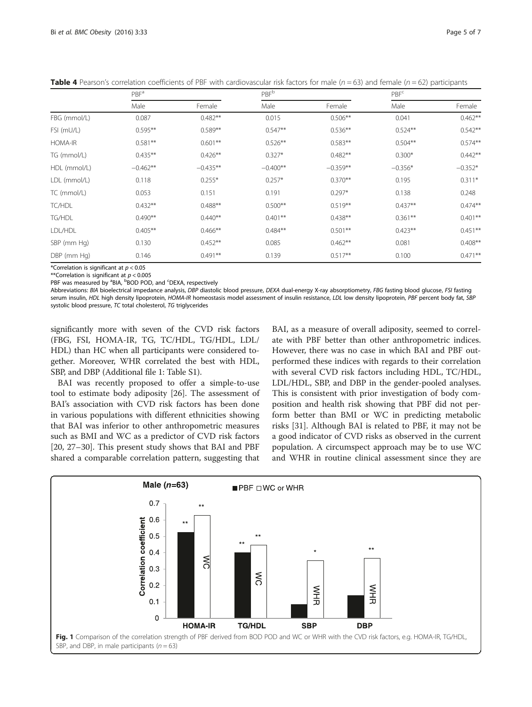<span id="page-4-0"></span>**Table 4** Pearson's correlation coefficients of PBF with cardiovascular risk factors for male ( $n = 63$ ) and female ( $n = 62$ ) participants

|                | PBF <sup>a</sup> |            | <b>PBF</b> b |            | PBF <sup>c</sup> |            |
|----------------|------------------|------------|--------------|------------|------------------|------------|
|                | Male             | Female     | Male         | Female     | Male             | Female     |
| FBG (mmol/L)   | 0.087            | $0.482**$  | 0.015        | $0.506**$  | 0.041            | $0.462**$  |
| FSI (mU/L)     | $0.595**$        | $0.589**$  | $0.547**$    | $0.536**$  | $0.524***$       | $0.542**$  |
| <b>HOMA-IR</b> | $0.581**$        | $0.601**$  | $0.526**$    | $0.583**$  | $0.504***$       | $0.574**$  |
| TG (mmol/L)    | $0.435**$        | $0.426**$  | $0.327*$     | $0.482**$  | $0.300*$         | $0.442**$  |
| HDL (mmol/L)   | $-0.462**$       | $-0.435**$ | $-0.400**$   | $-0.359**$ | $-0.356*$        | $-0.352*$  |
| LDL (mmol/L)   | 0.118            | $0.255*$   | $0.257*$     | $0.370**$  | 0.195            | $0.311*$   |
| TC (mmol/L)    | 0.053            | 0.151      | 0.191        | $0.297*$   | 0.138            | 0.248      |
| TC/HDL         | $0.432**$        | $0.488**$  | $0.500**$    | $0.519**$  | $0.437**$        | $0.474***$ |
| TG/HDL         | $0.490**$        | $0.440**$  | $0.401***$   | $0.438**$  | $0.361***$       | $0.401**$  |
| LDL/HDL        | $0.405**$        | $0.466**$  | $0.484**$    | $0.501***$ | $0.423**$        | $0.451***$ |
| SBP (mm Hg)    | 0.130            | $0.452**$  | 0.085        | $0.462**$  | 0.081            | $0.408**$  |
| DBP (mm Hg)    | 0.146            | $0.491**$  | 0.139        | $0.517**$  | 0.100            | $0.471***$ |

\*Correlation is significant at  $p < 0.05$ 

\*\*Correlation is significant at  $p < 0.005$ 

PBF was measured by <sup>a</sup>BIA, <sup>b</sup>BOD POD, and <sup>c</sup>DEXA, respectively

Abbreviations: BIA bioelectrical impedance analysis, DBP diastolic blood pressure, DEXA dual-energy X-ray absorptiometry, FBG fasting blood glucose, FSI fasting serum insulin, HDL high density lipoprotein, HOMA-IR homeostasis model assessment of insulin resistance, LDL low density lipoprotein, PBF percent body fat, SBP systolic blood pressure, TC total cholesterol, TG triglycerides

significantly more with seven of the CVD risk factors (FBG, FSI, HOMA-IR, TG, TC/HDL, TG/HDL, LDL/ HDL) than HC when all participants were considered together. Moreover, WHR correlated the best with HDL, SBP, and DBP (Additional file [1](#page-5-0): Table S1).

BAI was recently proposed to offer a simple-to-use tool to estimate body adiposity [\[26\]](#page-6-0). The assessment of BAI's association with CVD risk factors has been done in various populations with different ethnicities showing that BAI was inferior to other anthropometric measures such as BMI and WC as a predictor of CVD risk factors [[20, 27](#page-6-0)–[30\]](#page-6-0). This present study shows that BAI and PBF shared a comparable correlation pattern, suggesting that

BAI, as a measure of overall adiposity, seemed to correlate with PBF better than other anthropometric indices. However, there was no case in which BAI and PBF outperformed these indices with regards to their correlation with several CVD risk factors including HDL, TC/HDL, LDL/HDL, SBP, and DBP in the gender-pooled analyses. This is consistent with prior investigation of body composition and health risk showing that PBF did not perform better than BMI or WC in predicting metabolic risks [[31\]](#page-6-0). Although BAI is related to PBF, it may not be a good indicator of CVD risks as observed in the current population. A circumspect approach may be to use WC and WHR in routine clinical assessment since they are

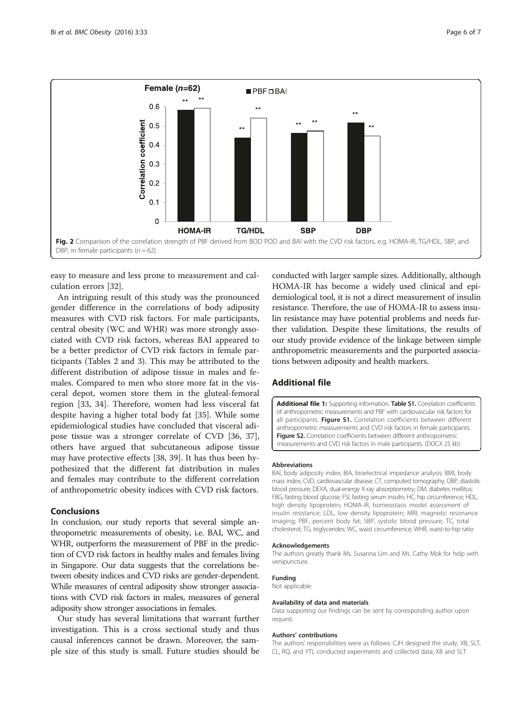<span id="page-5-0"></span>

easy to measure and less prone to measurement and calculation errors [\[32\]](#page-6-0).

An intriguing result of this study was the pronounced gender difference in the correlations of body adiposity measures with CVD risk factors. For male participants, central obesity (WC and WHR) was more strongly associated with CVD risk factors, whereas BAI appeared to be a better predictor of CVD risk factors in female participants (Tables [2](#page-3-0) and [3\)](#page-3-0). This may be attributed to the different distribution of adipose tissue in males and females. Compared to men who store more fat in the visceral depot, women store them in the gluteal-femoral region [\[33, 34](#page-6-0)]. Therefore, women had less visceral fat despite having a higher total body fat [\[35](#page-6-0)]. While some epidemiological studies have concluded that visceral adipose tissue was a stronger correlate of CVD [[36](#page-6-0), [37](#page-6-0)], others have argued that subcutaneous adipose tissue may have protective effects [[38](#page-6-0), [39](#page-6-0)]. It has thus been hypothesized that the different fat distribution in males and females may contribute to the different correlation of anthropometric obesity indices with CVD risk factors.

## Conclusions

In conclusion, our study reports that several simple anthropometric measurements of obesity, i.e. BAI, WC, and WHR, outperform the measurement of PBF in the prediction of CVD risk factors in healthy males and females living in Singapore. Our data suggests that the correlations between obesity indices and CVD risks are gender-dependent. While measures of central adiposity show stronger associations with CVD risk factors in males, measures of general adiposity show stronger associations in females.

Our study has several limitations that warrant further investigation. This is a cross sectional study and thus causal inferences cannot be drawn. Moreover, the sample size of this study is small. Future studies should be

conducted with larger sample sizes. Additionally, although HOMA-IR has become a widely used clinical and epidemiological tool, it is not a direct measurement of insulin resistance. Therefore, the use of HOMA-IR to assess insulin resistance may have potential problems and needs further validation. Despite these limitations, the results of our study provide evidence of the linkage between simple anthropometric measurements and the purported associations between adiposity and health markers.

## Additional file

[Additional file 1:](dx.doi.org/10.1186/s40608-016-0114-4) Supporting information. Table S1. Correlation coefficients of anthropometric measurements and PBF with cardiovascular risk factors for all participants. Figure S1. Correlation coefficients between different anthropometric measurements and CVD risk factors in female participants. Figure S2. Correlation coefficients between different anthropometric measurements and CVD risk factors in male participants. (DOCX 25 kb)

#### Abbreviations

BAI, body adiposity index; BIA, bioelectrical impedance analysis; BMI, body mass index; CVD, cardiovascular disease; CT, computed tomography; DBP, diastolic blood pressure; DEXA, dual-energy X-ray absorptiometry; DM, diabetes mellitus; FBG, fasting blood glucose; FSI, fasting serum insulin; HC, hip circumference; HDL, high density lipoprotein; HOMA-IR, homeostasis model assessment of insulin resistance; LDL, low density lipoprotein; MRI, magnetic resonance imaging; PBF, percent body fat; SBP, systolic blood pressure; TC, total cholesterol; TG, triglycerides; WC, waist circumference; WHR, waist-to-hip ratio

#### Acknowledgements

The authors greatly thank Ms. Susanna Lim and Ms. Cathy Mok for help with venipuncture.

#### Funding

Not applicable.

## Availability of data and materials

Data supporting our findings can be sent by corresponding author upon request.

#### Authors' contributions

The authors' responsibilities were as follows: CJH designed the study; XB, SLT, CL, RQ, and YTL conducted experiments and collected data; XB and SLT